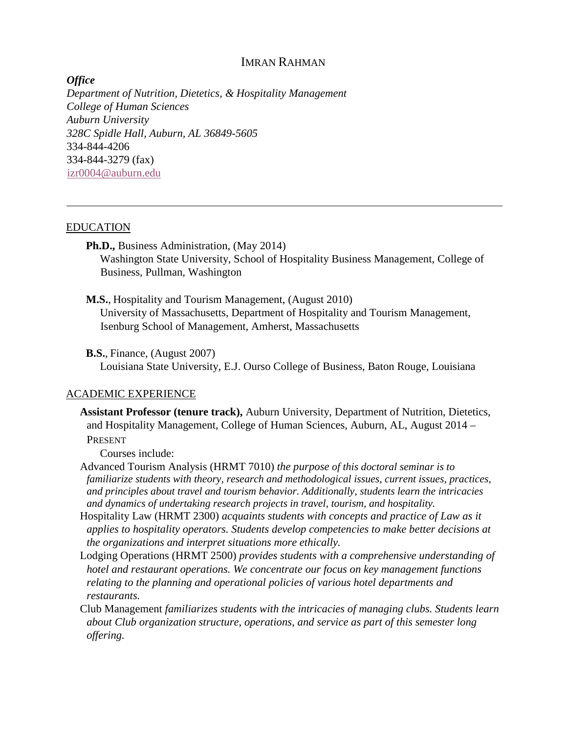# IMRAN RAHMAN

*Office Department of Nutrition, Dietetics, & Hospitality Management College of Human Sciences Auburn University 328C Spidle Hall, Auburn, AL 36849-5605* 334-844-4206 334-844-3279 (fax) [izr0004@auburn.edu](https://cas.auburn.edu/owa/redir.aspx?C=cL0STVsCZUCnSrtx9AqNsSitgFmkq9EItgQvsrJn7tMGoS2hVy4fgUzIJmX1kJlX861lP-N-LuE.&URL=mailto%3aizr0004%40auburn.edu)

#### EDUCATION

**Ph.D.,** Business Administration, (May 2014) Washington State University, School of Hospitality Business Management, College of Business, Pullman, Washington

**M.S.**, Hospitality and Tourism Management, (August 2010)

University of Massachusetts, Department of Hospitality and Tourism Management, Isenburg School of Management, Amherst, Massachusetts

**B.S.**, Finance, (August 2007)

Louisiana State University, E.J. Ourso College of Business, Baton Rouge, Louisiana

#### ACADEMIC EXPERIENCE

**Assistant Professor (tenure track),** Auburn University, Department of Nutrition, Dietetics, and Hospitality Management, College of Human Sciences, Auburn, AL, August 2014 – PRESENT

Courses include:

Advanced Tourism Analysis (HRMT 7010) *the purpose of this doctoral seminar is to familiarize students with theory, research and methodological issues, current issues, practices, and principles about travel and tourism behavior. Additionally, students learn the intricacies and dynamics of undertaking research projects in travel, tourism, and hospitality.*

- Hospitality Law (HRMT 2300) *acquaints students with concepts and practice of Law as it applies to hospitality operators. Students develop competencies to make better decisions at the organizations and interpret situations more ethically.*
- Lodging Operations (HRMT 2500) *provides students with a comprehensive understanding of hotel and restaurant operations. We concentrate our focus on key management functions relating to the planning and operational policies of various hotel departments and restaurants.*
- Club Management *familiarizes students with the intricacies of managing clubs. Students learn about Club organization structure, operations, and service as part of this semester long offering.*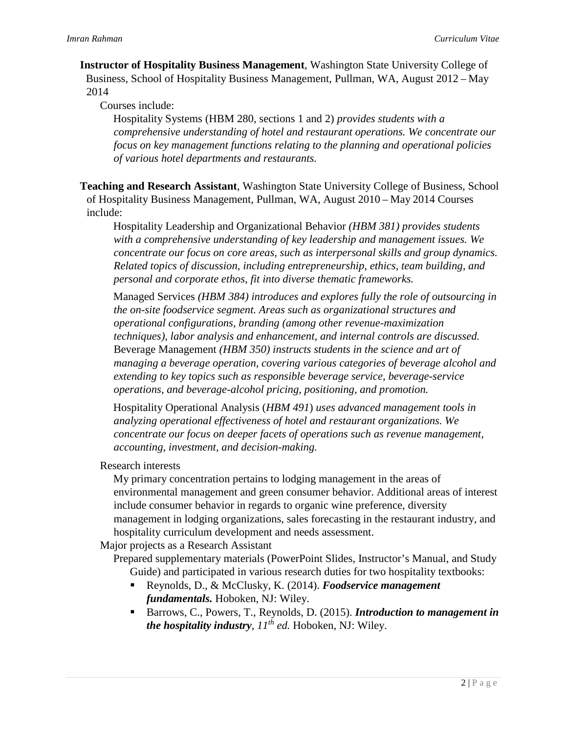**Instructor of Hospitality Business Management**, Washington State University College of Business, School of Hospitality Business Management, Pullman, WA, August 2012 – May 2014

Courses include:

Hospitality Systems (HBM 280, sections 1 and 2) *provides students with a comprehensive understanding of hotel and restaurant operations. We concentrate our focus on key management functions relating to the planning and operational policies of various hotel departments and restaurants.* 

**Teaching and Research Assistant**, Washington State University College of Business, School of Hospitality Business Management, Pullman, WA, August 2010 – May 2014 Courses include:

Hospitality Leadership and Organizational Behavior *(HBM 381) provides students with a comprehensive understanding of key leadership and management issues. We concentrate our focus on core areas, such as interpersonal skills and group dynamics. Related topics of discussion, including entrepreneurship, ethics, team building, and personal and corporate ethos, fit into diverse thematic frameworks.* 

Managed Services *(HBM 384) introduces and explores fully the role of outsourcing in the on-site foodservice segment. Areas such as organizational structures and operational configurations, branding (among other revenue-maximization techniques), labor analysis and enhancement, and internal controls are discussed.*  Beverage Management *(HBM 350) instructs students in the science and art of managing a beverage operation, covering various categories of beverage alcohol and extending to key topics such as responsible beverage service, beverage-service operations, and beverage-alcohol pricing, positioning, and promotion.* 

Hospitality Operational Analysis (*HBM 491*) *uses advanced management tools in analyzing operational effectiveness of hotel and restaurant organizations. We concentrate our focus on deeper facets of operations such as revenue management, accounting, investment, and decision-making.* 

Research interests

My primary concentration pertains to lodging management in the areas of environmental management and green consumer behavior. Additional areas of interest include consumer behavior in regards to organic wine preference, diversity management in lodging organizations, sales forecasting in the restaurant industry, and hospitality curriculum development and needs assessment.

Major projects as a Research Assistant

Prepared supplementary materials (PowerPoint Slides, Instructor's Manual, and Study Guide) and participated in various research duties for two hospitality textbooks:

- Reynolds, D., & McClusky, K. (2014). *Foodservice management fundamentals.* Hoboken, NJ: Wiley.
- Barrows, C., Powers, T., Reynolds, D. (2015). *Introduction to management in the hospitality industry,*  $11^{th}$  *ed.* Hoboken, NJ: Wiley.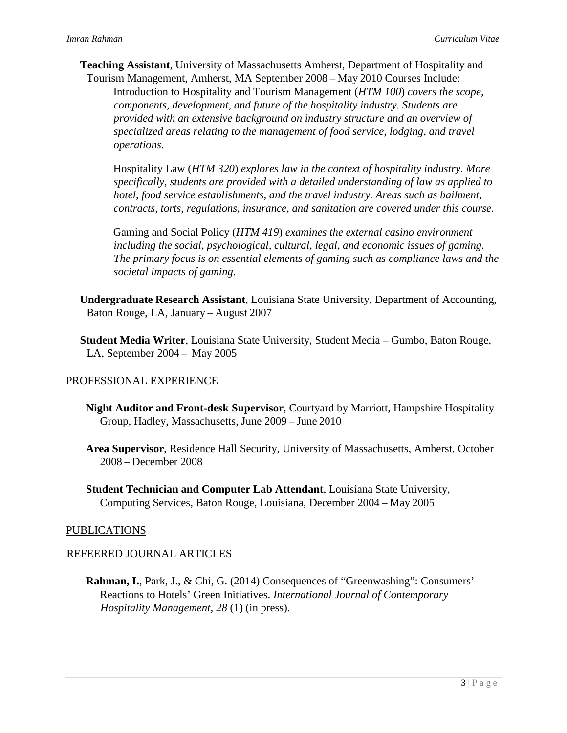**Teaching Assistant**, University of Massachusetts Amherst, Department of Hospitality and Tourism Management, Amherst, MA September 2008 – May 2010 Courses Include:

Introduction to Hospitality and Tourism Management (*HTM 100*) *covers the scope, components, development, and future of the hospitality industry. Students are provided with an extensive background on industry structure and an overview of specialized areas relating to the management of food service, lodging, and travel operations.* 

Hospitality Law (*HTM 320*) *explores law in the context of hospitality industry. More specifically, students are provided with a detailed understanding of law as applied to hotel, food service establishments, and the travel industry. Areas such as bailment, contracts, torts, regulations, insurance, and sanitation are covered under this course.*

Gaming and Social Policy (*HTM 419*) *examines the external casino environment including the social, psychological, cultural, legal, and economic issues of gaming. The primary focus is on essential elements of gaming such as compliance laws and the societal impacts of gaming.*

**Undergraduate Research Assistant**, Louisiana State University, Department of Accounting, Baton Rouge, LA, January – August 2007

**Student Media Writer**, Louisiana State University, Student Media – Gumbo, Baton Rouge, LA, September 2004 – May 2005

### PROFESSIONAL EXPERIENCE

- **Night Auditor and Front-desk Supervisor**, Courtyard by Marriott, Hampshire Hospitality Group, Hadley, Massachusetts, June 2009 – June 2010
- **Area Supervisor**, Residence Hall Security, University of Massachusetts, Amherst, October 2008 – December 2008
- **Student Technician and Computer Lab Attendant**, Louisiana State University, Computing Services, Baton Rouge, Louisiana, December 2004 – May 2005

#### PUBLICATIONS

### REFEERED JOURNAL ARTICLES

**Rahman, I.**, Park, J., & Chi, G. (2014) Consequences of "Greenwashing": Consumers' Reactions to Hotels' Green Initiatives. *International Journal of Contemporary Hospitality Management, 28* (1) (in press).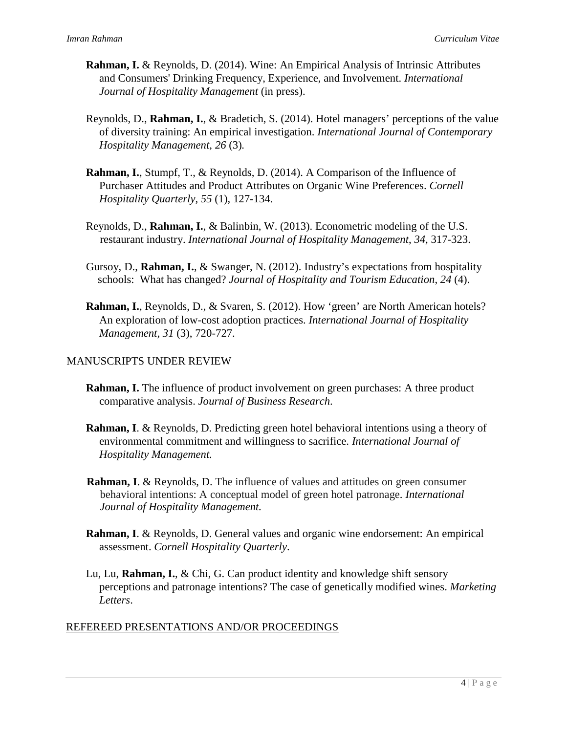- **Rahman, I.** & Reynolds, D. (2014). Wine: An Empirical Analysis of Intrinsic Attributes and Consumers' Drinking Frequency, Experience, and Involvement. *International Journal of Hospitality Management* (in press).
- Reynolds, D., **Rahman, I.**, & Bradetich, S. (2014). Hotel managers' perceptions of the value of diversity training: An empirical investigation. *International Journal of Contemporary Hospitality Management*, *26* (3)*.*
- **Rahman, I.**, Stumpf, T., & Reynolds, D. (2014). A Comparison of the Influence of Purchaser Attitudes and Product Attributes on Organic Wine Preferences. *Cornell Hospitality Quarterly*, *55* (1), 127-134.
- Reynolds, D., **Rahman, I.**, & Balinbin, W. (2013). Econometric modeling of the U.S. restaurant industry. *International Journal of Hospitality Management*, *34*, 317-323.
- Gursoy, D., **Rahman, I.**, & Swanger, N. (2012). Industry's expectations from hospitality schools: What has changed? *Journal of Hospitality and Tourism Education*, *24* (4).
- **Rahman, I.**, Reynolds, D., & Svaren, S. (2012). How 'green' are North American hotels? An exploration of low-cost adoption practices. *International Journal of Hospitality Management, 31* (3), 720-727.

# MANUSCRIPTS UNDER REVIEW

- **Rahman, I.** The influence of product involvement on green purchases: A three product comparative analysis. *Journal of Business Research*.
- **Rahman, I**. & Reynolds, D. Predicting green hotel behavioral intentions using a theory of environmental commitment and willingness to sacrifice. *International Journal of Hospitality Management.*
- **Rahman, I**. & Reynolds, D. The influence of values and attitudes on green consumer behavioral intentions: A conceptual model of green hotel patronage. *International Journal of Hospitality Management.*
- **Rahman, I**. & Reynolds, D. General values and organic wine endorsement: An empirical assessment. *Cornell Hospitality Quarterly*.
- Lu, Lu, **Rahman, I.**, & Chi, G. Can product identity and knowledge shift sensory perceptions and patronage intentions? The case of genetically modified wines. *Marketing Letters*.

# REFEREED PRESENTATIONS AND/OR PROCEEDINGS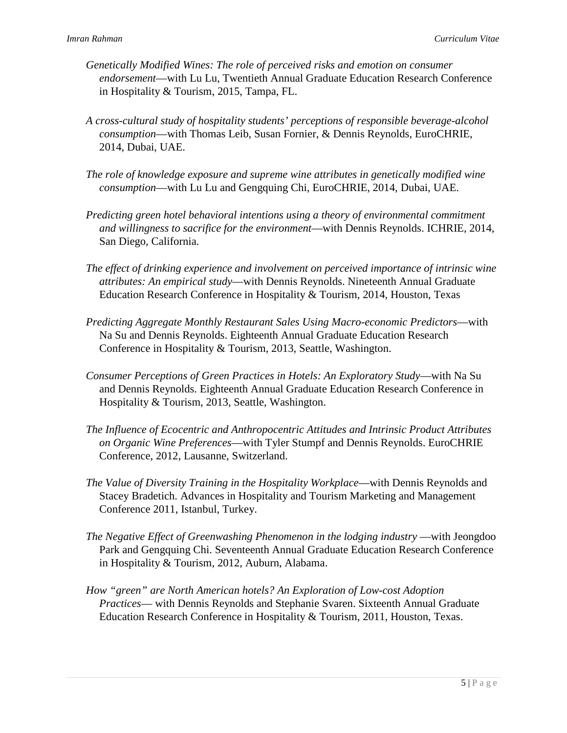- *Genetically Modified Wines: The role of perceived risks and emotion on consumer endorsement*—with Lu Lu, Twentieth Annual Graduate Education Research Conference in Hospitality & Tourism, 2015, Tampa, FL.
- *A cross-cultural study of hospitality students' perceptions of responsible beverage-alcohol consumption*—with Thomas Leib, Susan Fornier, & Dennis Reynolds, EuroCHRIE, 2014, Dubai, UAE.
- *The role of knowledge exposure and supreme wine attributes in genetically modified wine consumption*—with Lu Lu and Gengquing Chi, EuroCHRIE, 2014, Dubai, UAE.
- *Predicting green hotel behavioral intentions using a theory of environmental commitment and willingness to sacrifice for the environment*—with Dennis Reynolds. ICHRIE, 2014, San Diego, California.
- *The effect of drinking experience and involvement on perceived importance of intrinsic wine attributes: An empirical study*—with Dennis Reynolds. Nineteenth Annual Graduate Education Research Conference in Hospitality & Tourism, 2014, Houston, Texas
- *Predicting Aggregate Monthly Restaurant Sales Using Macro-economic Predictors*—with Na Su and Dennis Reynolds. Eighteenth Annual Graduate Education Research Conference in Hospitality & Tourism, 2013, Seattle, Washington.
- *Consumer Perceptions of Green Practices in Hotels: An Exploratory Study*—with Na Su and Dennis Reynolds. Eighteenth Annual Graduate Education Research Conference in Hospitality & Tourism, 2013, Seattle, Washington.
- *The Influence of Ecocentric and Anthropocentric Attitudes and Intrinsic Product Attributes on Organic Wine Preferences*—with Tyler Stumpf and Dennis Reynolds. EuroCHRIE Conference, 2012, Lausanne, Switzerland.
- *The Value of Diversity Training in the Hospitality Workplace*—with Dennis Reynolds and Stacey Bradetich. Advances in Hospitality and Tourism Marketing and Management Conference 2011, Istanbul, Turkey.
- *The Negative Effect of Greenwashing Phenomenon in the lodging industry* —with Jeongdoo Park and Gengquing Chi. Seventeenth Annual Graduate Education Research Conference in Hospitality & Tourism, 2012, Auburn, Alabama.
- *How "green" are North American hotels? An Exploration of Low-cost Adoption Practices*— with Dennis Reynolds and Stephanie Svaren. Sixteenth Annual Graduate Education Research Conference in Hospitality & Tourism, 2011, Houston, Texas.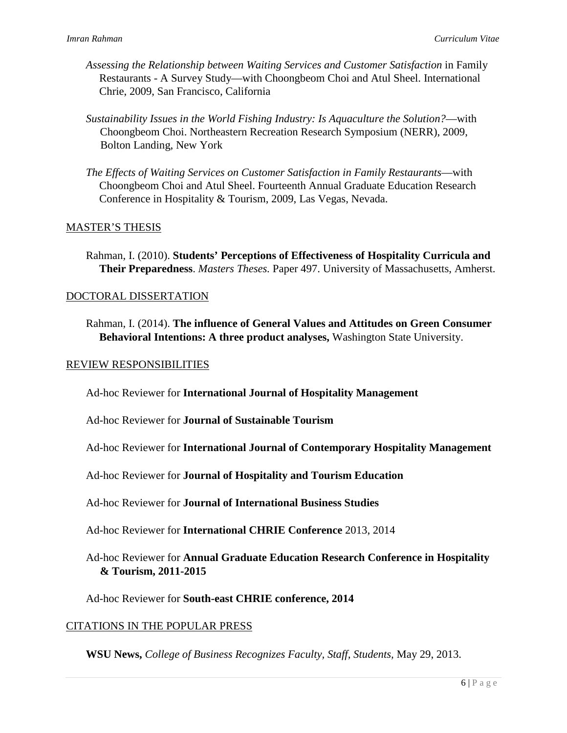- *Assessing the Relationship between Waiting Services and Customer Satisfaction* in Family Restaurants - A Survey Study—with Choongbeom Choi and Atul Sheel. International Chrie, 2009, San Francisco, California
- *Sustainability Issues in the World Fishing Industry: Is Aquaculture the Solution?*—with Choongbeom Choi. Northeastern Recreation Research Symposium (NERR), 2009, Bolton Landing, New York
- *The Effects of Waiting Services on Customer Satisfaction in Family Restaurants*—with Choongbeom Choi and Atul Sheel. Fourteenth Annual Graduate Education Research Conference in Hospitality & Tourism, 2009, Las Vegas, Nevada.

## MASTER'S THESIS

Rahman, I. (2010). **Students' Perceptions of Effectiveness of Hospitality Curricula and Their Preparedness**. *Masters Theses.* Paper 497. University of Massachusetts, Amherst.

### DOCTORAL DISSERTATION

Rahman, I. (2014). **The influence of General Values and Attitudes on Green Consumer Behavioral Intentions: A three product analyses,** Washington State University.

#### REVIEW RESPONSIBILITIES

Ad-hoc Reviewer for **International Journal of Hospitality Management**

Ad-hoc Reviewer for **Journal of Sustainable Tourism**

Ad-hoc Reviewer for **International Journal of Contemporary Hospitality Management** 

Ad-hoc Reviewer for **Journal of Hospitality and Tourism Education**

Ad-hoc Reviewer for **Journal of International Business Studies**

Ad-hoc Reviewer for **International CHRIE Conference** 2013, 2014

Ad-hoc Reviewer for **Annual Graduate Education Research Conference in Hospitality & Tourism, 2011-2015** 

Ad-hoc Reviewer for **South-east CHRIE conference, 2014**

### CITATIONS IN THE POPULAR PRESS

**WSU News,** *College of Business Recognizes Faculty, Staff, Students,* May 29, 2013.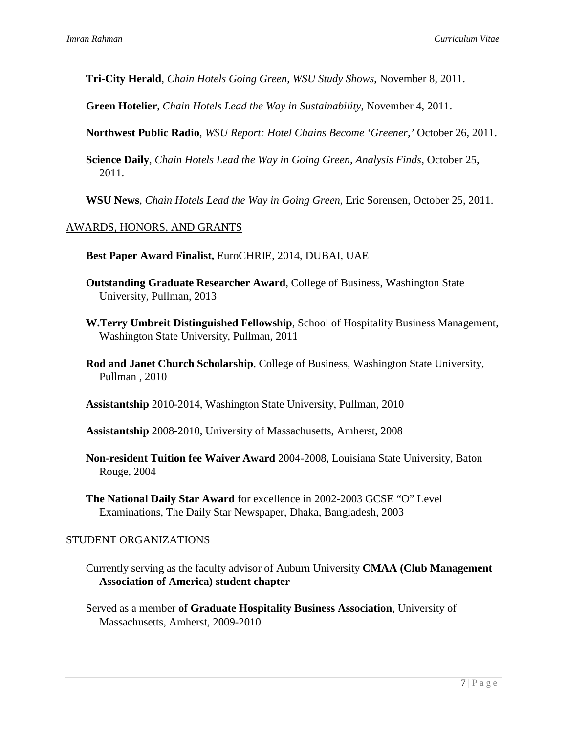**Tri-City Herald**, *Chain Hotels Going Green, WSU Study Shows*, November 8, 2011.

**Green Hotelier**, *Chain Hotels Lead the Way in Sustainability*, November 4, 2011.

**Northwest Public Radio**, *WSU Report: Hotel Chains Become 'Greener,'* October 26, 2011.

**Science Daily**, *Chain Hotels Lead the Way in Going Green, Analysis Finds*, October 25, 2011.

**WSU News**, *Chain Hotels Lead the Way in Going Green*, Eric Sorensen, October 25, 2011.

## AWARDS, HONORS, AND GRANTS

**Best Paper Award Finalist,** EuroCHRIE, 2014, DUBAI, UAE

- **Outstanding Graduate Researcher Award**, College of Business, Washington State University, Pullman, 2013
- **W.Terry Umbreit Distinguished Fellowship**, School of Hospitality Business Management, Washington State University, Pullman, 2011
- **Rod and Janet Church Scholarship**, College of Business, Washington State University, Pullman , 2010

**Assistantship** 2010-2014, Washington State University, Pullman, 2010

**Assistantship** 2008-2010, University of Massachusetts, Amherst, 2008

**Non-resident Tuition fee Waiver Award** 2004-2008, Louisiana State University, Baton Rouge, 2004

**The National Daily Star Award** for excellence in 2002-2003 GCSE "O" Level Examinations, The Daily Star Newspaper, Dhaka, Bangladesh, 2003

### STUDENT ORGANIZATIONS

Currently serving as the faculty advisor of Auburn University **CMAA (Club Management Association of America) student chapter**

Served as a member **of Graduate Hospitality Business Association**, University of Massachusetts, Amherst, 2009-2010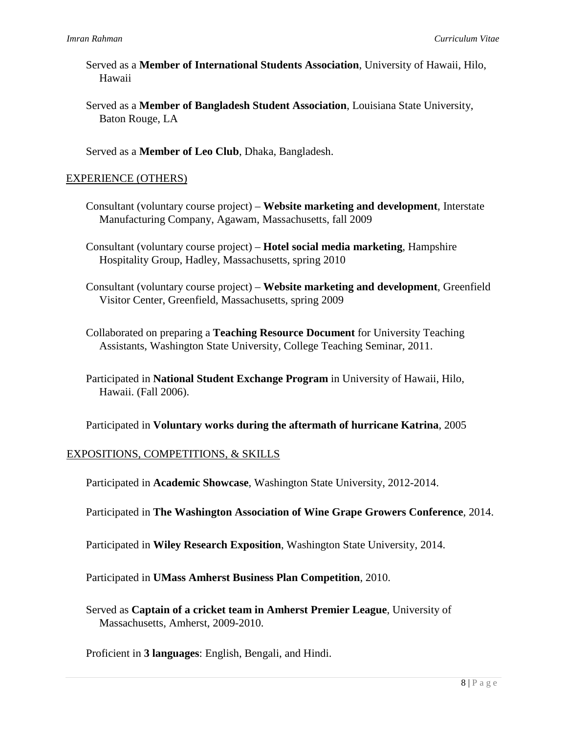- Served as a **Member of International Students Association**, University of Hawaii, Hilo, Hawaii
- Served as a **Member of Bangladesh Student Association**, Louisiana State University, Baton Rouge, LA

Served as a **Member of Leo Club**, Dhaka, Bangladesh.

## EXPERIENCE (OTHERS)

Consultant (voluntary course project) – **Website marketing and development**, Interstate Manufacturing Company, Agawam, Massachusetts, fall 2009

Consultant (voluntary course project) – **Hotel social media marketing**, Hampshire Hospitality Group, Hadley, Massachusetts, spring 2010

Consultant (voluntary course project) – **Website marketing and development**, Greenfield Visitor Center, Greenfield, Massachusetts, spring 2009

Collaborated on preparing a **Teaching Resource Document** for University Teaching Assistants, Washington State University, College Teaching Seminar, 2011.

Participated in **National Student Exchange Program** in University of Hawaii, Hilo, Hawaii. (Fall 2006).

Participated in **Voluntary works during the aftermath of hurricane Katrina**, 2005

# EXPOSITIONS, COMPETITIONS, & SKILLS

Participated in **Academic Showcase**, Washington State University, 2012-2014.

Participated in **The Washington Association of Wine Grape Growers Conference**, 2014.

Participated in **Wiley Research Exposition**, Washington State University, 2014.

Participated in **UMass Amherst Business Plan Competition**, 2010.

Served as **Captain of a cricket team in Amherst Premier League**, University of Massachusetts, Amherst, 2009-2010.

Proficient in **3 languages**: English, Bengali, and Hindi.